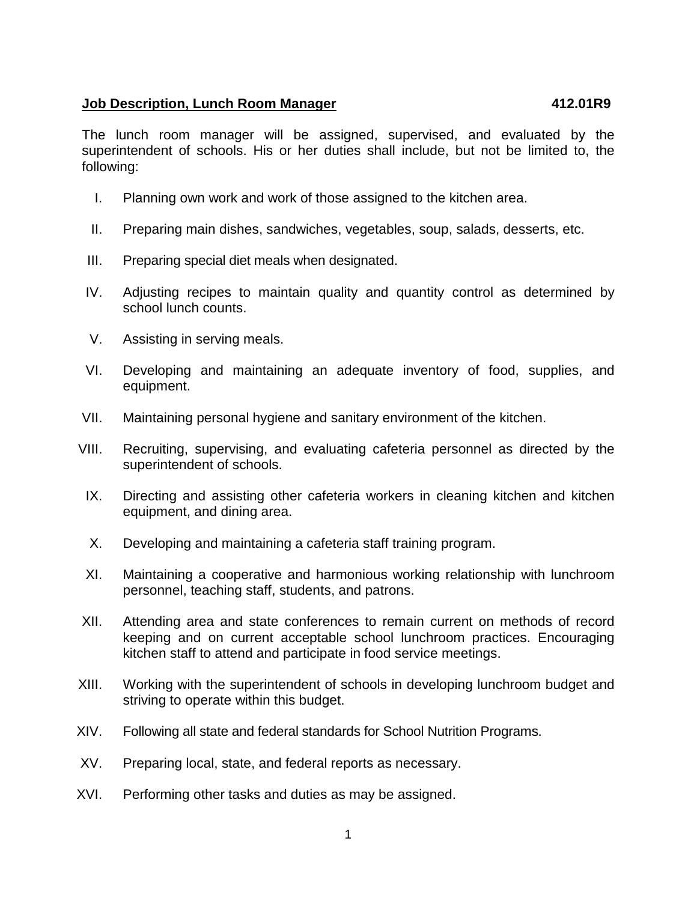## **Job Description, Lunch Room Manager 412.01R9**

The lunch room manager will be assigned, supervised, and evaluated by the superintendent of schools. His or her duties shall include, but not be limited to, the following:

- I. Planning own work and work of those assigned to the kitchen area.
- II. Preparing main dishes, sandwiches, vegetables, soup, salads, desserts, etc.
- III. Preparing special diet meals when designated.
- IV. Adjusting recipes to maintain quality and quantity control as determined by school lunch counts.
- V. Assisting in serving meals.
- VI. Developing and maintaining an adequate inventory of food, supplies, and equipment.
- VII. Maintaining personal hygiene and sanitary environment of the kitchen.
- VIII. Recruiting, supervising, and evaluating cafeteria personnel as directed by the superintendent of schools.
- IX. Directing and assisting other cafeteria workers in cleaning kitchen and kitchen equipment, and dining area.
- X. Developing and maintaining a cafeteria staff training program.
- XI. Maintaining a cooperative and harmonious working relationship with lunchroom personnel, teaching staff, students, and patrons.
- XII. Attending area and state conferences to remain current on methods of record keeping and on current acceptable school lunchroom practices. Encouraging kitchen staff to attend and participate in food service meetings.
- XIII. Working with the superintendent of schools in developing lunchroom budget and striving to operate within this budget.
- XIV. Following all state and federal standards for School Nutrition Programs.
- XV. Preparing local, state, and federal reports as necessary.
- XVI. Performing other tasks and duties as may be assigned.